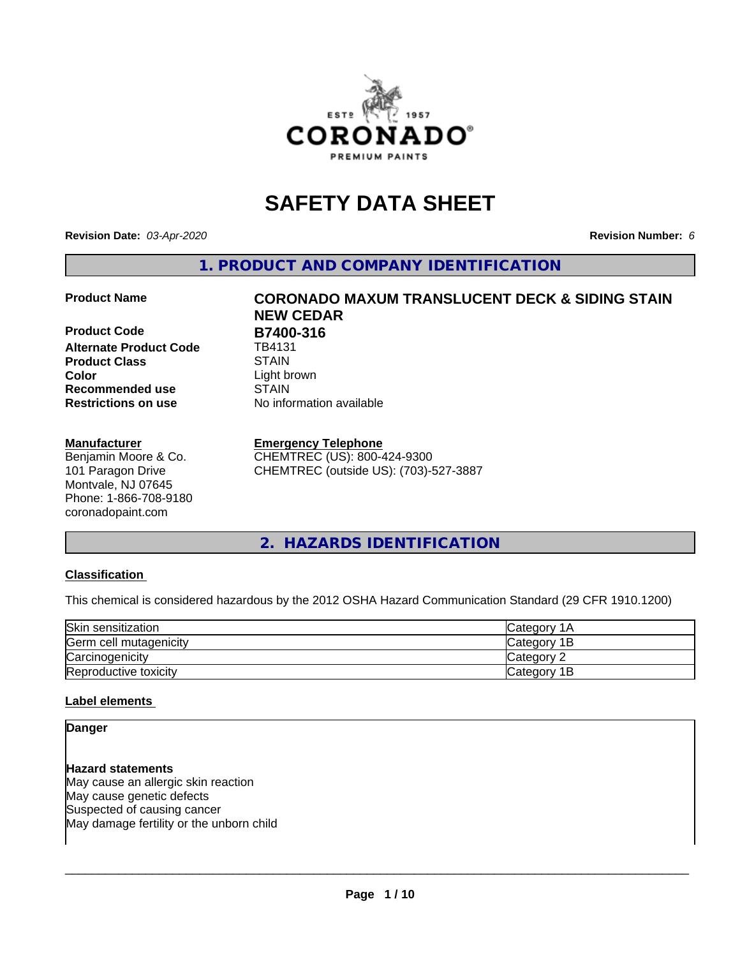

## **SAFETY DATA SHEET**

**Revision Date:** *03-Apr-2020* **Revision Number:** *6*

**1. PRODUCT AND COMPANY IDENTIFICATION**

**Product Code B7400-316**<br>Alternate Product Code **B** TB4131 **Alternate Product Code Product Class STAIN**<br> **Color** Light b **Recommended use STAIN Restrictions on use** No information available

#### **Manufacturer**

Benjamin Moore & Co. 101 Paragon Drive Montvale, NJ 07645 Phone: 1-866-708-9180 coronadopaint.com

# **Product Name CORONADO MAXUM TRANSLUCENT DECK & SIDING STAIN NEW CEDAR** Light brown

#### **Emergency Telephone**

CHEMTREC (US): 800-424-9300 CHEMTREC (outside US): (703)-527-3887

**2. HAZARDS IDENTIFICATION**

#### **Classification**

This chemical is considered hazardous by the 2012 OSHA Hazard Communication Standard (29 CFR 1910.1200)

| Skin sensitization     | Category 1A  |
|------------------------|--------------|
| Germ cell mutagenicity | Category 1B  |
| Carcinogenicity        | Category 2   |
| Reproductive toxicity  | lCategory 1B |

#### **Label elements**

#### **Danger**

**Hazard statements** May cause an allergic skin reaction May cause genetic defects Suspected of causing cancer May damage fertility or the unborn child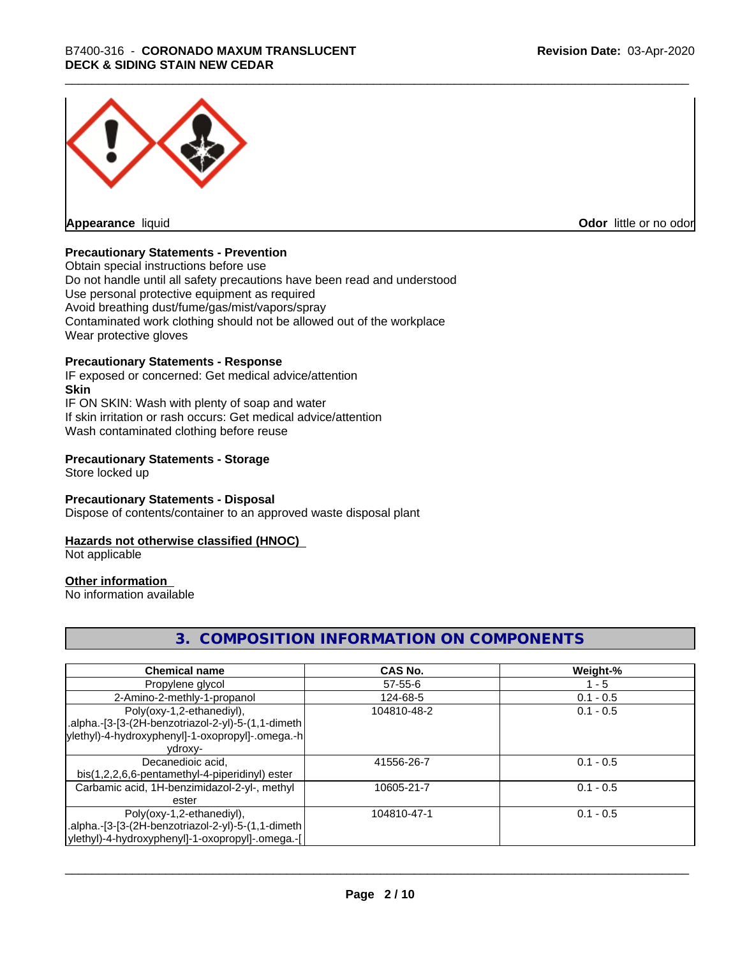

**Appearance** liquid

**Odor** little or no odor

#### **Precautionary Statements - Prevention**

Obtain special instructions before use Do not handle until all safety precautions have been read and understood Use personal protective equipment as required Avoid breathing dust/fume/gas/mist/vapors/spray Contaminated work clothing should not be allowed out of the workplace Wear protective gloves

#### **Precautionary Statements - Response**

IF exposed or concerned: Get medical advice/attention **Skin** IF ON SKIN: Wash with plenty of soap and water If skin irritation or rash occurs: Get medical advice/attention Wash contaminated clothing before reuse

#### **Precautionary Statements - Storage**

Store locked up

#### **Precautionary Statements - Disposal**

Dispose of contents/container to an approved waste disposal plant

#### **Hazards not otherwise classified (HNOC)**

Not applicable

#### **Other information**

No information available

#### **3. COMPOSITION INFORMATION ON COMPONENTS**

| <b>Chemical name</b>                               | <b>CAS No.</b> | Weight-%    |
|----------------------------------------------------|----------------|-------------|
| Propylene glycol                                   | $57 - 55 - 6$  | - 5         |
| 2-Amino-2-methly-1-propanol                        | 124-68-5       | $0.1 - 0.5$ |
| Poly(oxy-1,2-ethanediyl),                          | 104810-48-2    | $0.1 - 0.5$ |
| .alpha.-[3-[3-(2H-benzotriazol-2-yl)-5-(1,1-dimeth |                |             |
| ylethyl)-4-hydroxyphenyl]-1-oxopropyl]-.omega.-h   |                |             |
| ydroxy-                                            |                |             |
| Decanedioic acid,                                  | 41556-26-7     | $0.1 - 0.5$ |
| bis(1,2,2,6,6-pentamethyl-4-piperidinyl) ester     |                |             |
| Carbamic acid, 1H-benzimidazol-2-yl-, methyl       | 10605-21-7     | $0.1 - 0.5$ |
| ester                                              |                |             |
| Poly(oxy-1,2-ethanediyl),                          | 104810-47-1    | $0.1 - 0.5$ |
| .alpha.-[3-[3-(2H-benzotriazol-2-yl)-5-(1,1-dimeth |                |             |
| ylethyl)-4-hydroxyphenyl]-1-oxopropyl]-.omega.-[   |                |             |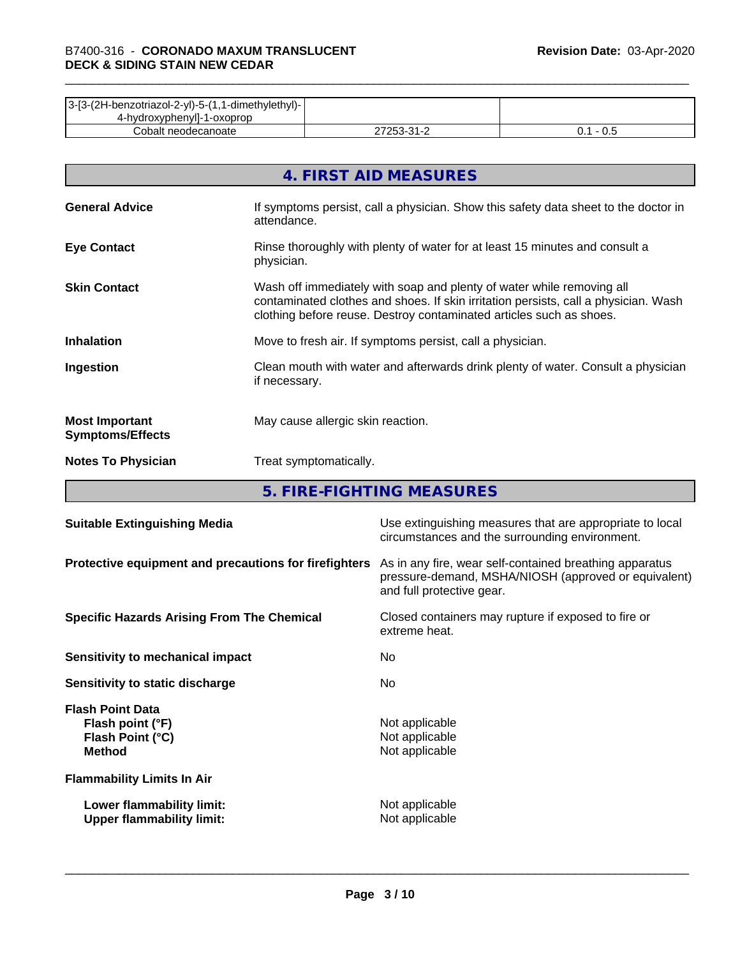| 3-[3-(2H-benzotriazol-2-yl)-5-(1,1-dimethylethyl)- |                           |     |
|----------------------------------------------------|---------------------------|-----|
| 4-hydroxyphenyll-1-oxoprop                         |                           |     |
| Cobalt neodecanoate                                | ר בר<br>ີາ<br><u> - 1</u> | v.J |

|                                                  | 4. FIRST AID MEASURES                                                                                                                                                                                                               |
|--------------------------------------------------|-------------------------------------------------------------------------------------------------------------------------------------------------------------------------------------------------------------------------------------|
| <b>General Advice</b>                            | If symptoms persist, call a physician. Show this safety data sheet to the doctor in<br>attendance.                                                                                                                                  |
| <b>Eye Contact</b>                               | Rinse thoroughly with plenty of water for at least 15 minutes and consult a<br>physician.                                                                                                                                           |
| <b>Skin Contact</b>                              | Wash off immediately with soap and plenty of water while removing all<br>contaminated clothes and shoes. If skin irritation persists, call a physician. Wash<br>clothing before reuse. Destroy contaminated articles such as shoes. |
| <b>Inhalation</b>                                | Move to fresh air. If symptoms persist, call a physician.                                                                                                                                                                           |
| Ingestion                                        | Clean mouth with water and afterwards drink plenty of water. Consult a physician<br>if necessary.                                                                                                                                   |
| <b>Most Important</b><br><b>Symptoms/Effects</b> | May cause allergic skin reaction.                                                                                                                                                                                                   |
| <b>Notes To Physician</b>                        | Treat symptomatically.                                                                                                                                                                                                              |

**5. FIRE-FIGHTING MEASURES**

| <b>Suitable Extinguishing Media</b>                                              | Use extinguishing measures that are appropriate to local<br>circumstances and the surrounding environment.                                   |
|----------------------------------------------------------------------------------|----------------------------------------------------------------------------------------------------------------------------------------------|
| Protective equipment and precautions for firefighters                            | As in any fire, wear self-contained breathing apparatus<br>pressure-demand, MSHA/NIOSH (approved or equivalent)<br>and full protective gear. |
| <b>Specific Hazards Arising From The Chemical</b>                                | Closed containers may rupture if exposed to fire or<br>extreme heat.                                                                         |
| Sensitivity to mechanical impact                                                 | No.                                                                                                                                          |
| Sensitivity to static discharge                                                  | No.                                                                                                                                          |
| <b>Flash Point Data</b><br>Flash point (°F)<br>Flash Point (°C)<br><b>Method</b> | Not applicable<br>Not applicable<br>Not applicable                                                                                           |
| <b>Flammability Limits In Air</b>                                                |                                                                                                                                              |
| Lower flammability limit:<br><b>Upper flammability limit:</b>                    | Not applicable<br>Not applicable                                                                                                             |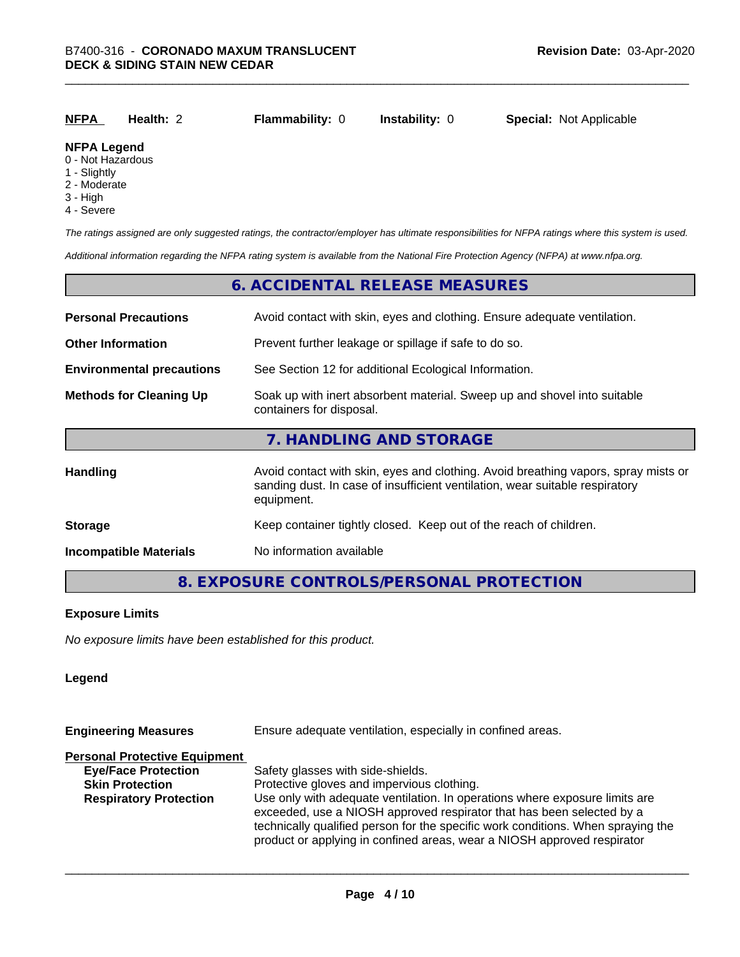| <b>NFPA</b>        | Health: 2 | <b>Flammability: 0</b> | <b>Instability: 0</b> | <b>Special: Not Applicable</b> |
|--------------------|-----------|------------------------|-----------------------|--------------------------------|
| <b>NFPA Legend</b> |           |                        |                       |                                |

#### 0 - Not Hazardous

- 1 Slightly
- 2 Moderate
- 3 High
- 4 Severe

*The ratings assigned are only suggested ratings, the contractor/employer has ultimate responsibilities for NFPA ratings where this system is used.*

*Additional information regarding the NFPA rating system is available from the National Fire Protection Agency (NFPA) at www.nfpa.org.*

#### **6. ACCIDENTAL RELEASE MEASURES**

| <b>Personal Precautions</b>      | Avoid contact with skin, eyes and clothing. Ensure adequate ventilation.                                                                                                         |  |  |
|----------------------------------|----------------------------------------------------------------------------------------------------------------------------------------------------------------------------------|--|--|
| <b>Other Information</b>         | Prevent further leakage or spillage if safe to do so.                                                                                                                            |  |  |
| <b>Environmental precautions</b> | See Section 12 for additional Ecological Information.                                                                                                                            |  |  |
| <b>Methods for Cleaning Up</b>   | Soak up with inert absorbent material. Sweep up and shovel into suitable<br>containers for disposal.                                                                             |  |  |
|                                  | 7. HANDLING AND STORAGE                                                                                                                                                          |  |  |
| <b>Handling</b>                  | Avoid contact with skin, eyes and clothing. Avoid breathing vapors, spray mists or<br>sanding dust. In case of insufficient ventilation, wear suitable respiratory<br>equipment. |  |  |
| <b>Storage</b>                   | Keep container tightly closed. Keep out of the reach of children.                                                                                                                |  |  |
| <b>Incompatible Materials</b>    | No information available                                                                                                                                                         |  |  |

#### **8. EXPOSURE CONTROLS/PERSONAL PROTECTION**

#### **Exposure Limits**

*No exposure limits have been established for this product.*

#### **Legend**

| Ensure adequate ventilation, especially in confined areas.                                                                                                                                                                                                                                                          |  |  |
|---------------------------------------------------------------------------------------------------------------------------------------------------------------------------------------------------------------------------------------------------------------------------------------------------------------------|--|--|
|                                                                                                                                                                                                                                                                                                                     |  |  |
| Safety glasses with side-shields.                                                                                                                                                                                                                                                                                   |  |  |
| Protective gloves and impervious clothing.                                                                                                                                                                                                                                                                          |  |  |
| Use only with adequate ventilation. In operations where exposure limits are<br>exceeded, use a NIOSH approved respirator that has been selected by a<br>technically qualified person for the specific work conditions. When spraying the<br>product or applying in confined areas, wear a NIOSH approved respirator |  |  |
|                                                                                                                                                                                                                                                                                                                     |  |  |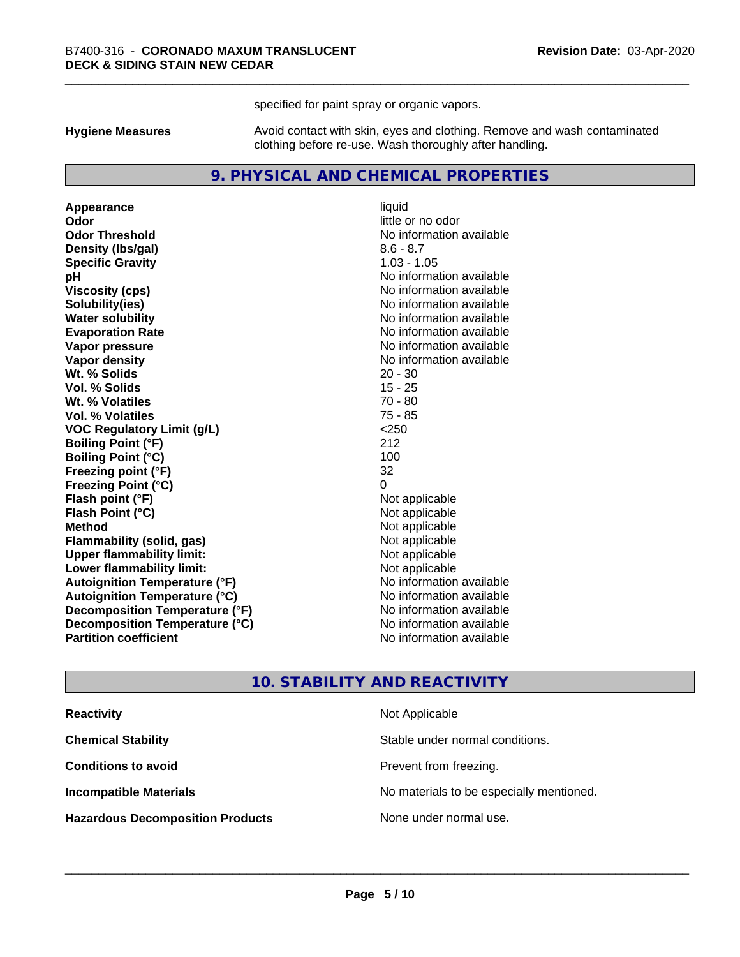specified for paint spray or organic vapors.

**Hygiene Measures** Avoid contact with skin, eyes and clothing. Remove and wash contaminated clothing before re-use. Wash thoroughly after handling.

#### **9. PHYSICAL AND CHEMICAL PROPERTIES**

**Appearance** liquid **Odor** little or no odor **Odor Threshold** No information available **Density (Ibs/gal)** 8.6 - 8.7 **Specific Gravity** 1.03 - 1.05 **pH** No information available **Viscosity (cps)** No information available **Solubility(ies)** No information available **Evaporation Rate No information available No information available Vapor pressure** No information available **Vapor density No information available No** information available **Wt. % Solids** 20 - 30 **Vol. % Solids** 15 - 25 **Wt. % Volatiles** 70 - 80 **Vol. % Volatiles** 75 - 85<br> **VOC Requiatory Limit (q/L)** 250 **VOC** Regulatory Limit (g/L) **Boiling Point (°F)** 212 **Boiling Point (°C)** 100 **Freezing point (°F)** 32 **Freezing Point (°C)**<br> **Flash point (°F)**<br> **Flash point (°F)**<br> **Point (°F)**<br> **Point (°F)**<br> **Point (°F)**<br> **Point (°F)**<br> **Point (°F) Flash point (°F)**<br> **Flash Point (°C)**<br> **Flash Point (°C)**<br> **C Flash Point (°C) Method** Not applicable **Flammability (solid, gas)** Not applicable<br> **Upper flammability limit:** Not applicable **Upper flammability limit: Lower flammability limit:** Not applicable **Autoignition Temperature (°F)** No information available **Autoignition Temperature (°C)** No information available **Decomposition Temperature (°F)** No information available **Decomposition Temperature (°C)** No information available **Partition coefficient Contract Contract Contract Contract Contract Contract Contract Contract Contract Contract Contract Contract Contract Contract Contract Contract Contract Contract Contract Contract Contract Contract** 

**No information available** 

#### **10. STABILITY AND REACTIVITY**

| <b>Reactivity</b>                       | Not Applicable                           |
|-----------------------------------------|------------------------------------------|
| <b>Chemical Stability</b>               | Stable under normal conditions.          |
| <b>Conditions to avoid</b>              | Prevent from freezing.                   |
| <b>Incompatible Materials</b>           | No materials to be especially mentioned. |
| <b>Hazardous Decomposition Products</b> | None under normal use.                   |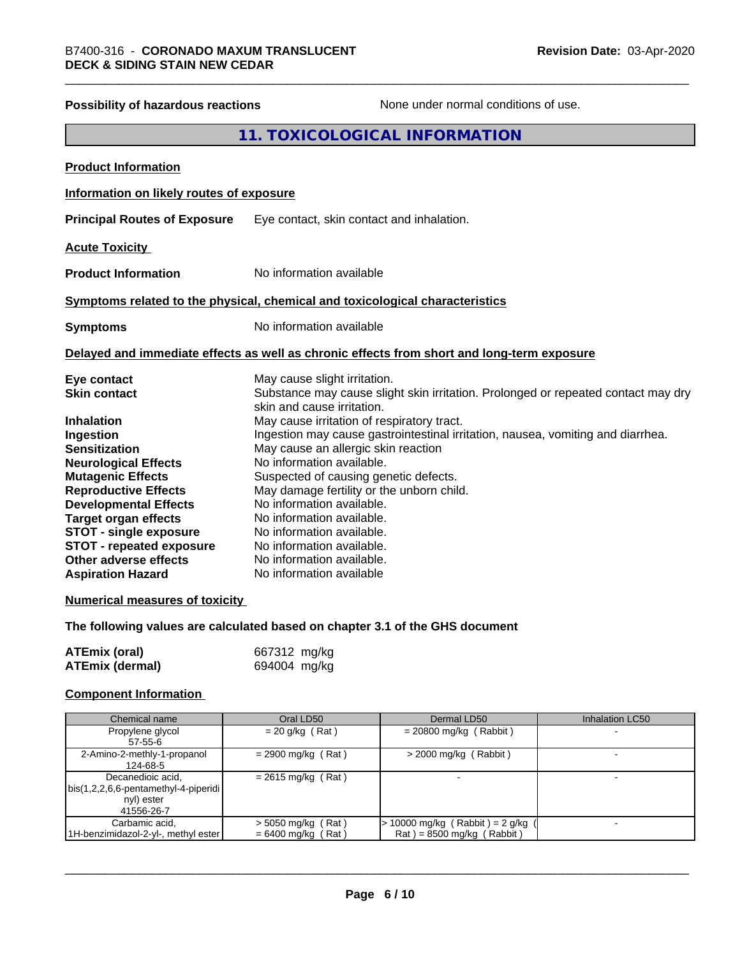| Possibility of hazardous reactions                | None under normal conditions of use.                                                                            |
|---------------------------------------------------|-----------------------------------------------------------------------------------------------------------------|
|                                                   | 11. TOXICOLOGICAL INFORMATION                                                                                   |
| <b>Product Information</b>                        |                                                                                                                 |
| Information on likely routes of exposure          |                                                                                                                 |
| <b>Principal Routes of Exposure</b>               | Eye contact, skin contact and inhalation.                                                                       |
| <b>Acute Toxicity</b>                             |                                                                                                                 |
| <b>Product Information</b>                        | No information available                                                                                        |
|                                                   | Symptoms related to the physical, chemical and toxicological characteristics                                    |
| <b>Symptoms</b>                                   | No information available                                                                                        |
|                                                   | Delayed and immediate effects as well as chronic effects from short and long-term exposure                      |
| Eye contact                                       | May cause slight irritation.                                                                                    |
| <b>Skin contact</b>                               | Substance may cause slight skin irritation. Prolonged or repeated contact may dry<br>skin and cause irritation. |
| <b>Inhalation</b>                                 | May cause irritation of respiratory tract.                                                                      |
| Ingestion                                         | Ingestion may cause gastrointestinal irritation, nausea, vomiting and diarrhea.                                 |
| <b>Sensitization</b>                              | May cause an allergic skin reaction                                                                             |
| <b>Neurological Effects</b>                       | No information available.                                                                                       |
| <b>Mutagenic Effects</b>                          | Suspected of causing genetic defects.                                                                           |
| <b>Reproductive Effects</b>                       | May damage fertility or the unborn child.                                                                       |
| <b>Developmental Effects</b>                      | No information available.                                                                                       |
| <b>Target organ effects</b>                       | No information available.                                                                                       |
| <b>STOT - single exposure</b>                     | No information available.                                                                                       |
| <b>STOT - repeated exposure</b>                   | No information available.                                                                                       |
| Other adverse effects<br><b>Aspiration Hazard</b> | No information available.<br>No information available                                                           |
|                                                   |                                                                                                                 |
| <b>Numerical measures of toxicity</b>             |                                                                                                                 |
|                                                   |                                                                                                                 |

### **The following values are calculated based on chapter 3.1 of the GHS document**

| <b>ATEmix (oral)</b> | 667312 mg/kg |
|----------------------|--------------|
| ATEmix (dermal)      | 694004 mg/kg |

## **Component Information**

| Chemical name                        | Oral LD50            | Dermal LD50                       | Inhalation LC50 |
|--------------------------------------|----------------------|-----------------------------------|-----------------|
| Propylene glycol                     | $= 20$ g/kg (Rat)    | $= 20800$ mg/kg (Rabbit)          |                 |
| $57 - 55 - 6$                        |                      |                                   |                 |
| 2-Amino-2-methly-1-propanol          | $= 2900$ mg/kg (Rat) | $>$ 2000 mg/kg (Rabbit)           |                 |
| 124-68-5                             |                      |                                   |                 |
| Decanedioic acid,                    | $= 2615$ mg/kg (Rat) |                                   |                 |
| bis(1,2,2,6,6-pentamethyl-4-piperidi |                      |                                   |                 |
| nyl) ester                           |                      |                                   |                 |
| 41556-26-7                           |                      |                                   |                 |
| Carbamic acid.                       | $>$ 5050 mg/kg (Rat) | $> 10000$ mg/kg (Rabbit) = 2 g/kg |                 |
| 1H-benzimidazol-2-yl-, methyl ester  | $= 6400$ mg/kg (Rat) | $Rat$ = 8500 mg/kg (Rabbit)       |                 |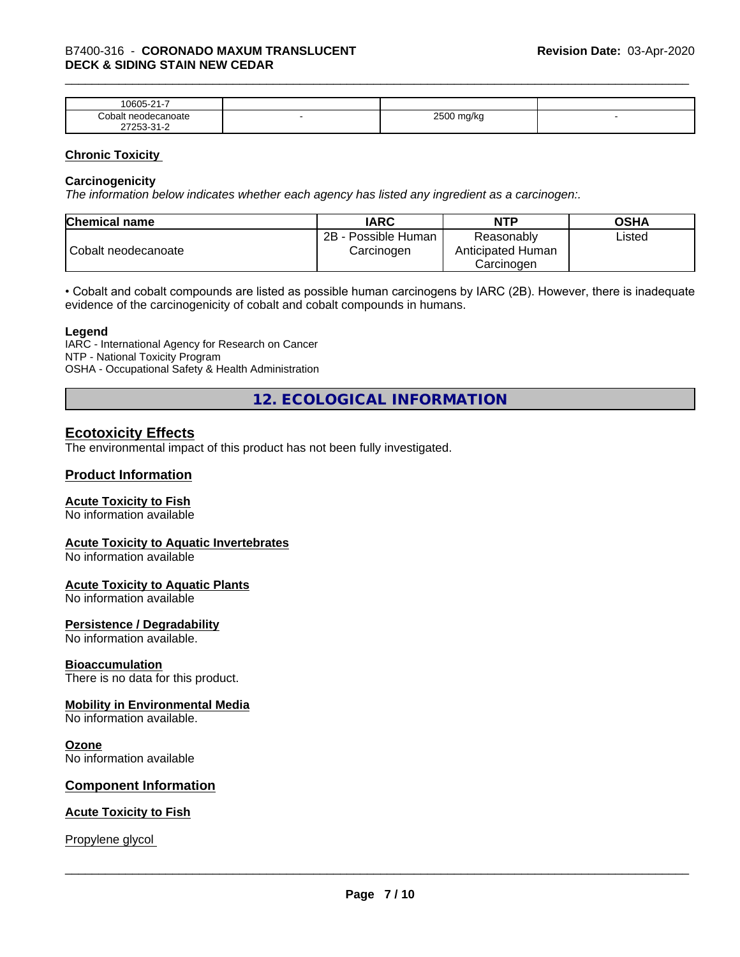| $\mathbf{a}$<br>0.000<br>ĸ<br>.<br>. . |   |                |  |
|----------------------------------------|---|----------------|--|
| `on<br>$1-11$                          | - | $- - - -$<br>ີ |  |
| $\sim$                                 |   |                |  |

#### **Chronic Toxicity**

#### **Carcinogenicity**

*The information below indicateswhether each agency has listed any ingredient as a carcinogen:.*

| <b>Chemical name</b> | <b>IARC</b>                              | <b>NTP</b>                                    | <b>OSHA</b> |
|----------------------|------------------------------------------|-----------------------------------------------|-------------|
| Cobalt neodecanoate  | $2B -$<br>- Possible Human<br>Carcinogen | Reasonably<br>Anticipated Human<br>Carcinogen | Listed      |

• Cobalt and cobalt compounds are listed as possible human carcinogens by IARC (2B). However, there is inadequate evidence of the carcinogenicity of cobalt and cobalt compounds in humans.

#### **Legend**

IARC - International Agency for Research on Cancer NTP - National Toxicity Program OSHA - Occupational Safety & Health Administration

**12. ECOLOGICAL INFORMATION**

#### **Ecotoxicity Effects**

The environmental impact of this product has not been fully investigated.

#### **Product Information**

#### **Acute Toxicity to Fish**

No information available

#### **Acute Toxicity to Aquatic Invertebrates**

No information available

#### **Acute Toxicity to Aquatic Plants**

No information available

#### **Persistence / Degradability**

No information available.

#### **Bioaccumulation**

There is no data for this product.

#### **Mobility in Environmental Media**

No information available.

#### **Ozone**

No information available

#### **Component Information**

#### **Acute Toxicity to Fish**

Propylene glycol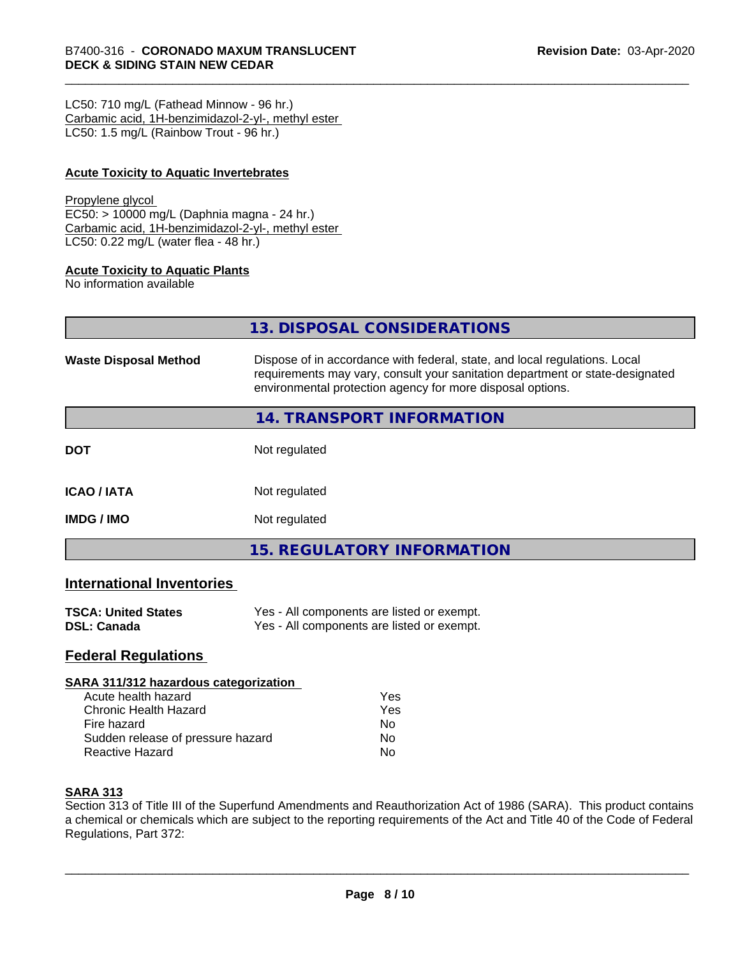LC50: 710 mg/L (Fathead Minnow - 96 hr.) Carbamic acid, 1H-benzimidazol-2-yl-, methyl ester LC50: 1.5 mg/L (Rainbow Trout - 96 hr.)

#### **Acute Toxicity to Aquatic Invertebrates**

#### Propylene glycol

EC50: > 10000 mg/L (Daphnia magna - 24 hr.) Carbamic acid, 1H-benzimidazol-2-yl-, methyl ester LC50: 0.22 mg/L (water flea - 48 hr.)

#### **Acute Toxicity to Aquatic Plants**

No information available

|                              | 13. DISPOSAL CONSIDERATIONS                                                                                                                                                                                               |
|------------------------------|---------------------------------------------------------------------------------------------------------------------------------------------------------------------------------------------------------------------------|
| <b>Waste Disposal Method</b> | Dispose of in accordance with federal, state, and local regulations. Local<br>requirements may vary, consult your sanitation department or state-designated<br>environmental protection agency for more disposal options. |
|                              | <b>14. TRANSPORT INFORMATION</b>                                                                                                                                                                                          |
| <b>DOT</b>                   | Not regulated                                                                                                                                                                                                             |
| <b>ICAO / IATA</b>           | Not regulated                                                                                                                                                                                                             |
| <b>IMDG / IMO</b>            | Not regulated                                                                                                                                                                                                             |

**15. REGULATORY INFORMATION**

#### **International Inventories**

| <b>TSCA: United States</b> | Yes - All components are listed or exempt. |
|----------------------------|--------------------------------------------|
| <b>DSL: Canada</b>         | Yes - All components are listed or exempt. |

#### **Federal Regulations**

#### **SARA 311/312 hazardous categorization**

| Acute health hazard               | Yes |  |
|-----------------------------------|-----|--|
| Chronic Health Hazard             | Yes |  |
| Fire hazard                       | N٥  |  |
| Sudden release of pressure hazard | N٥  |  |
| Reactive Hazard                   | N٥  |  |

#### **SARA 313**

Section 313 of Title III of the Superfund Amendments and Reauthorization Act of 1986 (SARA). This product contains a chemical or chemicals which are subject to the reporting requirements of the Act and Title 40 of the Code of Federal Regulations, Part 372: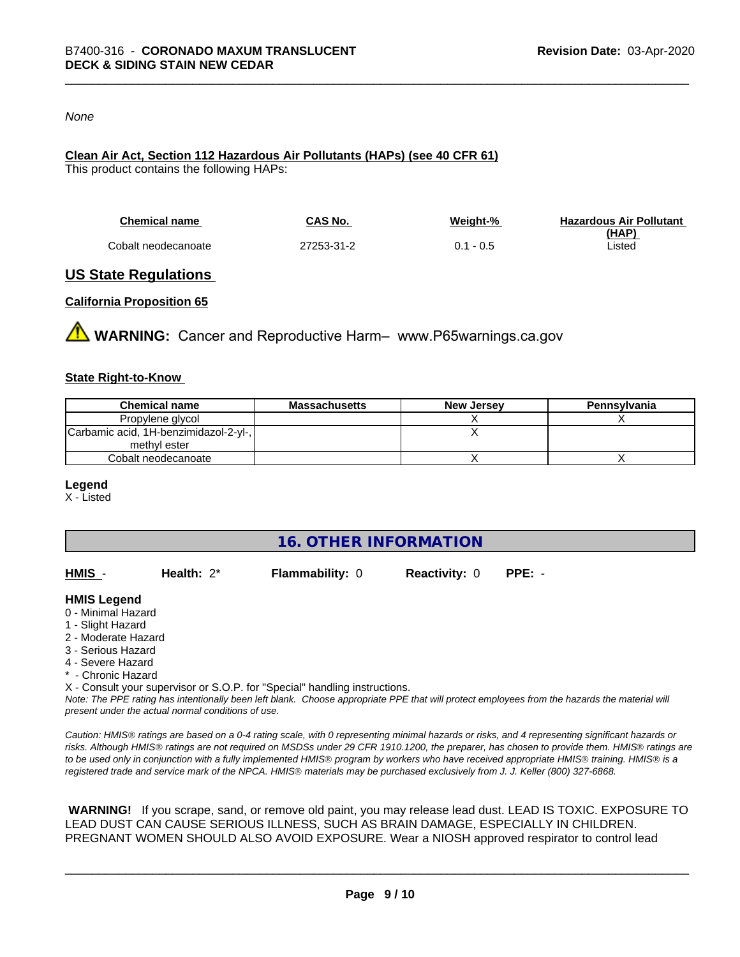#### *None*

#### **Clean Air Act,Section 112 Hazardous Air Pollutants (HAPs) (see 40 CFR 61)**

This product contains the following HAPs:

| <b>Chemical name</b> | CAS No.    | Weight-%    | <b>Hazardous Air Pollutant</b> |
|----------------------|------------|-------------|--------------------------------|
|                      |            |             | (HAP)                          |
| Cobalt neodecanoate  | 27253-31-2 | $0.1 - 0.5$ | Listed                         |

#### **US State Regulations**

#### **California Proposition 65**

**WARNING:** Cancer and Reproductive Harm– www.P65warnings.ca.gov

#### **State Right-to-Know**

| <b>Chemical name</b>                  | Massachusetts | <b>New Jersey</b> | Pennsylvania |
|---------------------------------------|---------------|-------------------|--------------|
| Propylene glycol                      |               |                   |              |
| Carbamic acid, 1H-benzimidazol-2-yl-, |               |                   |              |
| methyl ester                          |               |                   |              |
| Cobalt neodecanoate                   |               |                   |              |

#### **Legend**

X - Listed

**16. OTHER INFORMATION**

| HMIS | Health: $2^*$ | <b>Flammability: 0</b> | <b>Reactivity: 0</b> | PPE: - |
|------|---------------|------------------------|----------------------|--------|
|      |               |                        |                      |        |

#### **HMIS Legend**

- 0 Minimal Hazard
- 1 Slight Hazard
- 2 Moderate Hazard
- 3 Serious Hazard
- 4 Severe Hazard
- \* Chronic Hazard
- X Consult your supervisor or S.O.P. for "Special" handling instructions.

*Note: The PPE rating has intentionally been left blank. Choose appropriate PPE that will protect employees from the hazards the material will present under the actual normal conditions of use.*

*Caution: HMISÒ ratings are based on a 0-4 rating scale, with 0 representing minimal hazards or risks, and 4 representing significant hazards or risks. Although HMISÒ ratings are not required on MSDSs under 29 CFR 1910.1200, the preparer, has chosen to provide them. HMISÒ ratings are to be used only in conjunction with a fully implemented HMISÒ program by workers who have received appropriate HMISÒ training. HMISÒ is a registered trade and service mark of the NPCA. HMISÒ materials may be purchased exclusively from J. J. Keller (800) 327-6868.*

 **WARNING!** If you scrape, sand, or remove old paint, you may release lead dust. LEAD IS TOXIC. EXPOSURE TO LEAD DUST CAN CAUSE SERIOUS ILLNESS, SUCH AS BRAIN DAMAGE, ESPECIALLY IN CHILDREN. PREGNANT WOMEN SHOULD ALSO AVOID EXPOSURE.Wear a NIOSH approved respirator to control lead